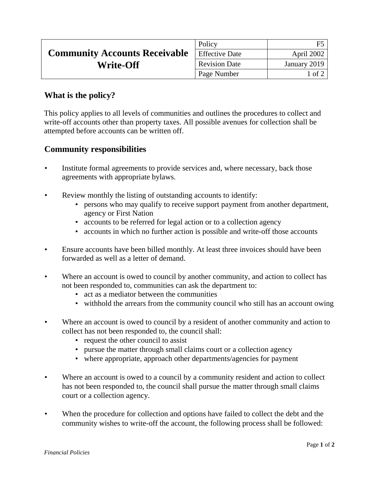|                                      | Policy                | F5           |
|--------------------------------------|-----------------------|--------------|
| <b>Community Accounts Receivable</b> | <b>Effective Date</b> | April 2002   |
| <b>Write-Off</b>                     | <b>Revision Date</b>  | January 2019 |
|                                      | Page Number           | 1 of 2       |

## **What is the policy?**

This policy applies to all levels of communities and outlines the procedures to collect and write-off accounts other than property taxes. All possible avenues for collection shall be attempted before accounts can be written off.

## **Community responsibilities**

- Institute formal agreements to provide services and, where necessary, back those agreements with appropriate bylaws.
- Review monthly the listing of outstanding accounts to identify:
	- persons who may qualify to receive support payment from another department, agency or First Nation
	- accounts to be referred for legal action or to a collection agency
	- accounts in which no further action is possible and write-off those accounts
- Ensure accounts have been billed monthly. At least three invoices should have been forwarded as well as a letter of demand.
- Where an account is owed to council by another community, and action to collect has not been responded to, communities can ask the department to:
	- act as a mediator between the communities
	- withhold the arrears from the community council who still has an account owing
- Where an account is owed to council by a resident of another community and action to collect has not been responded to, the council shall:
	- request the other council to assist
	- pursue the matter through small claims court or a collection agency
	- where appropriate, approach other departments/agencies for payment
- Where an account is owed to a council by a community resident and action to collect has not been responded to, the council shall pursue the matter through small claims court or a collection agency.
- When the procedure for collection and options have failed to collect the debt and the community wishes to write-off the account, the following process shall be followed: